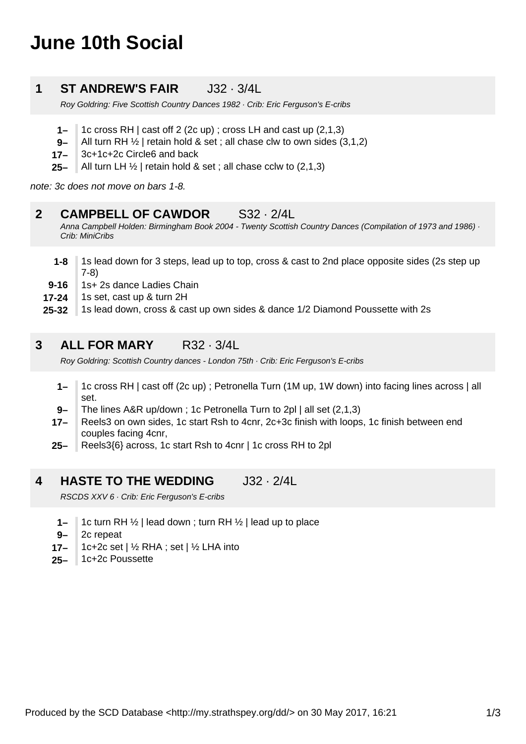# **June 10th Social**

### **1 ST ANDREW'S FAIR** J32 · 3/4L

Roy Goldring: Five Scottish Country Dances 1982 · Crib: Eric Ferguson's E-cribs

- **1–** 1c cross RH | cast off 2 (2c up) ; cross LH and cast up (2,1,3)
- **9–** All turn RH  $\frac{1}{2}$  | retain hold & set ; all chase clw to own sides (3,1,2)
- **17–** 3c+1c+2c Circle6 and back
- **25–** All turn LH ½ | retain hold & set ; all chase cclw to (2,1,3)

note: 3c does not move on bars 1-8.

#### **2 CAMPBELL OF CAWDOR** S32 · 2/4L

Anna Campbell Holden: Birmingham Book 2004 - Twenty Scottish Country Dances (Compilation of 1973 and 1986) · Crib: MiniCribs

- **1-8** 1s lead down for 3 steps, lead up to top, cross & cast to 2nd place opposite sides (2s step up 7-8)
- **9-16** 1s+ 2s dance Ladies Chain
- **17-24** 1s set, cast up & turn 2H
- **25-32** 1s lead down, cross & cast up own sides & dance 1/2 Diamond Poussette with 2s

#### **3 ALL FOR MARY** R32 · 3/4L

Roy Goldring: Scottish Country dances - London 75th · Crib: Eric Ferguson's E-cribs

- **1–** 1c cross RH | cast off (2c up) ; Petronella Turn (1M up, 1W down) into facing lines across | all set.
- **9–** The lines A&R up/down ; 1c Petronella Turn to 2pl | all set (2,1,3)
- **17–** Reels3 on own sides, 1c start Rsh to 4cnr, 2c+3c finish with loops, 1c finish between end couples facing 4cnr,
- **25–** Reels3{6} across, 1c start Rsh to 4cnr | 1c cross RH to 2pl

#### **4 HASTE TO THE WEDDING** J32 · 2/4L

RSCDS XXV 6 · Crib: Eric Ferguson's E-cribs

- **1–** 1c turn RH ½ | lead down ; turn RH ½ | lead up to place
- **9–** 2c repeat
- **17–** 1c+2c set | ½ RHA ; set | ½ LHA into
- **25–** 1c+2c Poussette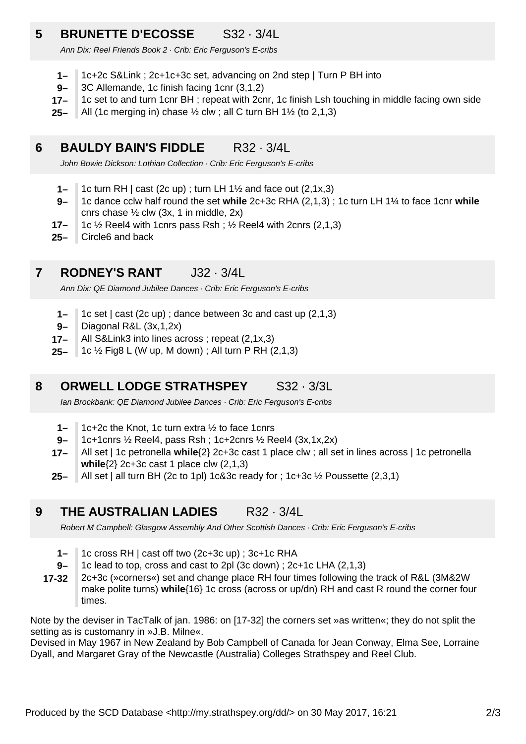## **5 BRUNETTE D'ECOSSE** S32 · 3/4L

Ann Dix: Reel Friends Book 2 · Crib: Eric Ferguson's E-cribs

- **1–** 1c+2c S&Link ; 2c+1c+3c set, advancing on 2nd step | Turn P BH into
- **9–** 3C Allemande, 1c finish facing 1cnr (3,1,2)
- **17–** 1c set to and turn 1cnr BH ; repeat with 2cnr, 1c finish Lsh touching in middle facing own side
- **25–** All (1c merging in) chase ½ clw ; all C turn BH 1½ (to 2,1,3)

#### **6 BAULDY BAIN'S FIDDLE** R32 · 3/4L

John Bowie Dickson: Lothian Collection · Crib: Eric Ferguson's E-cribs

- **1–** 1c turn RH | cast (2c up) ; turn LH 1½ and face out (2,1x,3)
- **9–** 1c dance cclw half round the set **while** 2c+3c RHA (2,1,3) ; 1c turn LH 1¼ to face 1cnr **while** cnrs chase  $\frac{1}{2}$  clw (3x, 1 in middle, 2x)
- **17–** 1c  $\frac{1}{2}$  Reel4 with 1cnrs pass Rsh;  $\frac{1}{2}$  Reel4 with 2cnrs (2,1,3)
- **25–** Circle6 and back

#### **7 RODNEY'S RANT** J32 · 3/4L

Ann Dix: QE Diamond Jubilee Dances · Crib: Eric Ferguson's E-cribs

- **1–** 1c set | cast (2c up) ; dance between 3c and cast up (2,1,3)
- **9–** Diagonal R&L (3x,1,2x)
- **17–** All S&Link3 into lines across ; repeat (2,1x,3)
- **25–** 1c ½ Fig8 L (W up, M down) ; All turn P RH (2,1,3)

#### **8 ORWELL LODGE STRATHSPEY** S32 · 3/3L

Ian Brockbank: QE Diamond Jubilee Dances · Crib: Eric Ferguson's E-cribs

- **1–** 1c+2c the Knot, 1c turn extra ½ to face 1cnrs
- **9–** 1c+1cnrs ½ Reel4, pass Rsh ; 1c+2cnrs ½ Reel4 (3x,1x,2x)
- **17–** All set | 1c petronella **while**{2} 2c+3c cast 1 place clw ; all set in lines across | 1c petronella **while**{2} 2c+3c cast 1 place clw (2,1,3)
- **25–** All set | all turn BH (2c to 1pl) 1c&3c ready for ; 1c+3c ½ Poussette (2,3,1)

**9 THE AUSTRALIAN LADIES** R32 · 3/4L

Robert M Campbell: Glasgow Assembly And Other Scottish Dances · Crib: Eric Ferguson's E-cribs

- **1–** 1c cross RH | cast off two (2c+3c up) ; 3c+1c RHA
- **9–** 1c lead to top, cross and cast to 2pl (3c down) ; 2c+1c LHA (2,1,3)

**17-32** 2c+3c (»corners«) set and change place RH four times following the track of R&L (3M&2W make polite turns) **while**{16} 1c cross (across or up/dn) RH and cast R round the corner four times.

Note by the deviser in TacTalk of jan. 1986: on [17-32] the corners set »as written«; they do not split the setting as is customanry in »J.B. Milne«.

Devised in May 1967 in New Zealand by Bob Campbell of Canada for Jean Conway, Elma See, Lorraine Dyall, and Margaret Gray of the Newcastle (Australia) Colleges Strathspey and Reel Club.